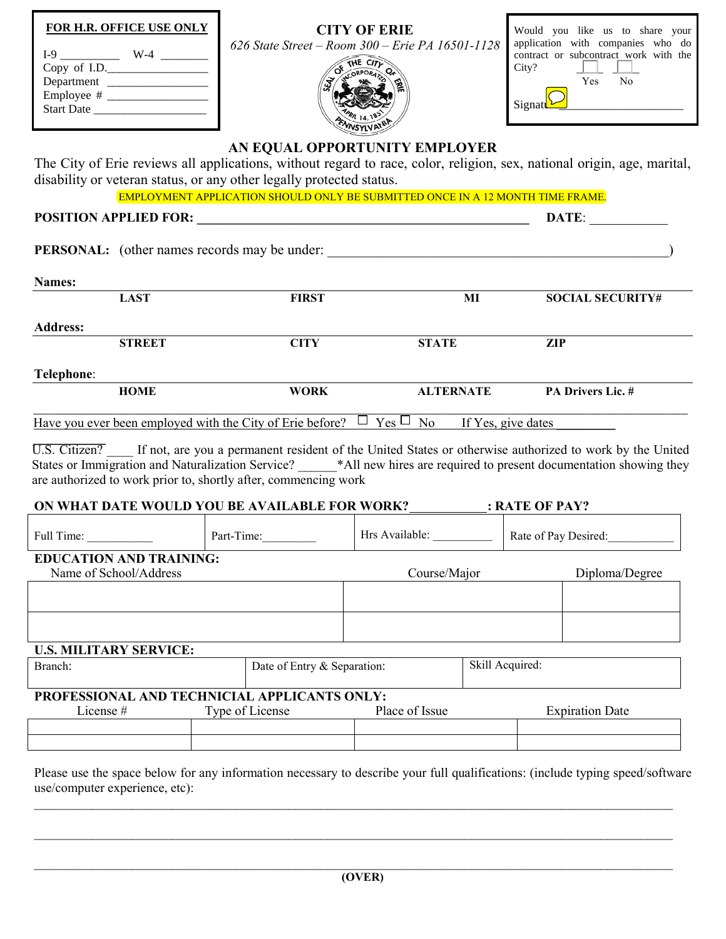| <b>FOR H.R. OFFICE USE ONLY</b><br>$I-9$ $W-4$ $\frac{1}{2}$<br>Copy of I.D.<br>Department<br>Start Date                                                                                                                                                                                                                                                                             |                             | <b>CITY OF ERIE</b><br>626 State Street - Room 300 - Erie PA 16501-1128<br>THE CITY | Would you like us to share your<br>application with companies who do<br>contract or subcontract work with the<br>City?<br>Yes<br>No<br>Signatu |  |
|--------------------------------------------------------------------------------------------------------------------------------------------------------------------------------------------------------------------------------------------------------------------------------------------------------------------------------------------------------------------------------------|-----------------------------|-------------------------------------------------------------------------------------|------------------------------------------------------------------------------------------------------------------------------------------------|--|
| AN EQUAL OPPORTUNITY EMPLOYER<br>The City of Erie reviews all applications, without regard to race, color, religion, sex, national origin, age, marital,<br>disability or veteran status, or any other legally protected status.<br><b>EMPLOYMENT APPLICATION SHOULD ONLY BE SUBMITTED ONCE IN A 12 MONTH TIME FRAME.</b>                                                            |                             |                                                                                     |                                                                                                                                                |  |
|                                                                                                                                                                                                                                                                                                                                                                                      |                             |                                                                                     | DATE:                                                                                                                                          |  |
|                                                                                                                                                                                                                                                                                                                                                                                      |                             |                                                                                     |                                                                                                                                                |  |
|                                                                                                                                                                                                                                                                                                                                                                                      |                             |                                                                                     |                                                                                                                                                |  |
| Names:                                                                                                                                                                                                                                                                                                                                                                               |                             |                                                                                     |                                                                                                                                                |  |
| <b>LAST</b>                                                                                                                                                                                                                                                                                                                                                                          | <b>FIRST</b>                | $\overline{M}$                                                                      | <b>SOCIAL SECURITY#</b>                                                                                                                        |  |
| <b>Address:</b>                                                                                                                                                                                                                                                                                                                                                                      |                             |                                                                                     |                                                                                                                                                |  |
| <b>STREET</b>                                                                                                                                                                                                                                                                                                                                                                        | <b>CITY</b>                 | <b>STATE</b>                                                                        | <b>ZIP</b>                                                                                                                                     |  |
| Telephone:                                                                                                                                                                                                                                                                                                                                                                           |                             |                                                                                     |                                                                                                                                                |  |
| <b>HOME</b>                                                                                                                                                                                                                                                                                                                                                                          | <b>WORK</b>                 | <b>ALTERNATE</b>                                                                    | PA Drivers Lic. #                                                                                                                              |  |
| Have you ever been employed with the City of Erie before? $\Box$ Yes $\Box$ No If Yes, give dates                                                                                                                                                                                                                                                                                    |                             |                                                                                     |                                                                                                                                                |  |
| U.S. Citizen? If not, are you a permanent resident of the United States or otherwise authorized to work by the United<br>States or Immigration and Naturalization Service? _____*All new hires are required to present documentation showing they<br>are authorized to work prior to, shortly after, commencing work<br>ON WHAT DATE WOULD YOU BE AVAILABLE FOR WORK? : RATE OF PAY? |                             |                                                                                     |                                                                                                                                                |  |
| Full Time:                                                                                                                                                                                                                                                                                                                                                                           | Part-Time:                  | Hrs Available:                                                                      | Rate of Pay Desired:                                                                                                                           |  |
| <b>EDUCATION AND TRAINING:</b><br>Name of School/Address                                                                                                                                                                                                                                                                                                                             |                             | Course/Major                                                                        | Diploma/Degree                                                                                                                                 |  |
|                                                                                                                                                                                                                                                                                                                                                                                      |                             |                                                                                     |                                                                                                                                                |  |
|                                                                                                                                                                                                                                                                                                                                                                                      |                             |                                                                                     |                                                                                                                                                |  |
| <b>U.S. MILITARY SERVICE:</b>                                                                                                                                                                                                                                                                                                                                                        |                             |                                                                                     |                                                                                                                                                |  |
| Branch:                                                                                                                                                                                                                                                                                                                                                                              | Date of Entry & Separation: |                                                                                     | Skill Acquired:                                                                                                                                |  |
| PROFESSIONAL AND TECHNICIAL APPLICANTS ONLY:<br>Type of License<br>Place of Issue<br>License#<br><b>Expiration Date</b>                                                                                                                                                                                                                                                              |                             |                                                                                     |                                                                                                                                                |  |
|                                                                                                                                                                                                                                                                                                                                                                                      |                             |                                                                                     |                                                                                                                                                |  |

Please use the space below for any information necessary to describe your full qualifications: (include typing speed/software use/computer experience, etc):

 $\mathcal{L}_\mathcal{L} = \mathcal{L}_\mathcal{L} = \mathcal{L}_\mathcal{L} = \mathcal{L}_\mathcal{L} = \mathcal{L}_\mathcal{L} = \mathcal{L}_\mathcal{L} = \mathcal{L}_\mathcal{L} = \mathcal{L}_\mathcal{L} = \mathcal{L}_\mathcal{L} = \mathcal{L}_\mathcal{L} = \mathcal{L}_\mathcal{L} = \mathcal{L}_\mathcal{L} = \mathcal{L}_\mathcal{L} = \mathcal{L}_\mathcal{L} = \mathcal{L}_\mathcal{L} = \mathcal{L}_\mathcal{L} = \mathcal{L}_\mathcal{L}$